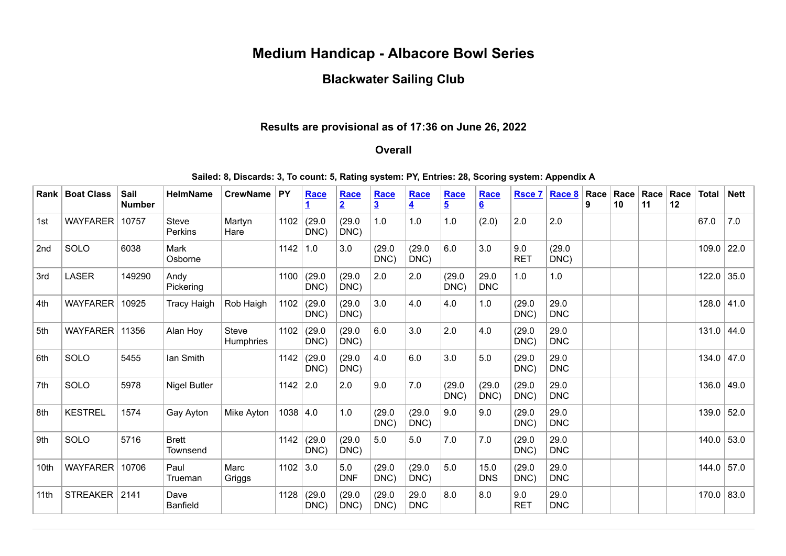# **Medium Handicap - Albacore Bowl Series**

## **Blackwater Sailing Club**

#### **Results are provisional as of 17:36 on June 26, 2022**

## **Overall**

**Sailed: 8, Discards: 3, To count: 5, Rating system: PY, Entries: 28, Scoring system: Appendix A**

| <b>Rank</b>     | <b>Boat Class</b> | Sail<br><b>Number</b> | <b>HelmName</b>                | <b>CrewName</b>           | <b>PY</b>    | Race           | Race<br>$\overline{2}$ | Race<br>$\overline{\mathbf{3}}$ | Race<br>$\overline{\mathbf{4}}$ | Race<br>$\overline{5}$ | Race<br>$6 \overline{6}$ | <b>Rsce 7</b>     | Race 8             | Race<br>9 | Race<br>10 | Race<br>11 | Race<br>12 | <b>Total</b> | <b>Nett</b> |
|-----------------|-------------------|-----------------------|--------------------------------|---------------------------|--------------|----------------|------------------------|---------------------------------|---------------------------------|------------------------|--------------------------|-------------------|--------------------|-----------|------------|------------|------------|--------------|-------------|
| 1st             | <b>WAYFARER</b>   | 10757                 | <b>Steve</b><br><b>Perkins</b> | Martyn<br>Hare            | 1102         | (29.0<br>DNC)  | (29.0)<br>DNC)         | 1.0                             | 1.0                             | 1.0                    | (2.0)                    | 2.0               | 2.0                |           |            |            |            | 67.0         | 7.0         |
| 2 <sub>nd</sub> | SOLO              | 6038                  | Mark<br>Osborne                |                           | 1142         | 1.0            | 3.0                    | (29.0)<br>DNC)                  | (29.0)<br>DNC)                  | 6.0                    | 3.0                      | 9.0<br><b>RET</b> | (29.0)<br>DNC)     |           |            |            |            | 109.0        | 22.0        |
| 3rd             | <b>LASER</b>      | 149290                | Andy<br>Pickering              |                           | 1100         | (29.0)<br>DNC) | (29.0)<br>DNC)         | 2.0                             | 2.0                             | (29.0)<br>DNC)         | 29.0<br><b>DNC</b>       | 1.0               | 1.0                |           |            |            |            | 122.0        | 35.0        |
| 4th             | <b>WAYFARER</b>   | 10925                 | <b>Tracy Haigh</b>             | Rob Haigh                 | 1102         | (29.0)<br>DNC) | (29.0)<br>DNC)         | 3.0                             | 4.0                             | 4.0                    | 1.0                      | (29.0)<br>DNC)    | 29.0<br><b>DNC</b> |           |            |            |            | 128.0        | 41.0        |
| 5th             | <b>WAYFARER</b>   | 11356                 | Alan Hoy                       | <b>Steve</b><br>Humphries | 1102         | (29.0)<br>DNC) | (29.0)<br>DNC)         | 6.0                             | 3.0                             | 2.0                    | 4.0                      | (29.0)<br>DNC)    | 29.0<br><b>DNC</b> |           |            |            |            | 131.0        | 44.0        |
| 6th             | SOLO              | 5455                  | lan Smith                      |                           | 1142         | (29.0)<br>DNC) | (29.0)<br>DNC)         | 4.0                             | 6.0                             | 3.0                    | 5.0                      | (29.0)<br>DNC)    | 29.0<br><b>DNC</b> |           |            |            |            | 134.0        | 47.0        |
| 7th             | SOLO              | 5978                  | <b>Nigel Butler</b>            |                           | 1142         | 2.0            | 2.0                    | 9.0                             | 7.0                             | (29.0)<br>DNC)         | (29.0)<br>DNC)           | (29.0)<br>DNC)    | 29.0<br><b>DNC</b> |           |            |            |            | 136.0        | 49.0        |
| 8th             | <b>KESTREL</b>    | 1574                  | Gay Ayton                      | Mike Ayton                | $1038$   4.0 |                | 1.0                    | (29.0)<br>DNC)                  | (29.0)<br>DNC)                  | 9.0                    | 9.0                      | (29.0)<br>DNC)    | 29.0<br><b>DNC</b> |           |            |            |            | 139.0        | 52.0        |
| 9th             | SOLO              | 5716                  | <b>Brett</b><br>Townsend       |                           | 1142         | (29.0)<br>DNC) | (29.0)<br>DNC)         | 5.0                             | 5.0                             | 7.0                    | 7.0                      | (29.0)<br>DNC)    | 29.0<br><b>DNC</b> |           |            |            |            | 140.0        | 53.0        |
| 10th            | <b>WAYFARER</b>   | 10706                 | Paul<br>Trueman                | Marc<br>Griggs            | 1102         | 3.0            | 5.0<br><b>DNF</b>      | (29.0)<br>DNC)                  | (29.0)<br>DNC)                  | 5.0                    | 15.0<br><b>DNS</b>       | (29.0)<br>DNC)    | 29.0<br><b>DNC</b> |           |            |            |            | 144.0        | 57.0        |
| 11th            | <b>STREAKER</b>   | 2141                  | Dave<br><b>Banfield</b>        |                           | 1128         | (29.0)<br>DNC) | (29.0)<br>DNC)         | (29.0)<br>DNC)                  | 29.0<br><b>DNC</b>              | 8.0                    | 8.0                      | 9.0<br><b>RET</b> | 29.0<br><b>DNC</b> |           |            |            |            | 170.0        | 83.0        |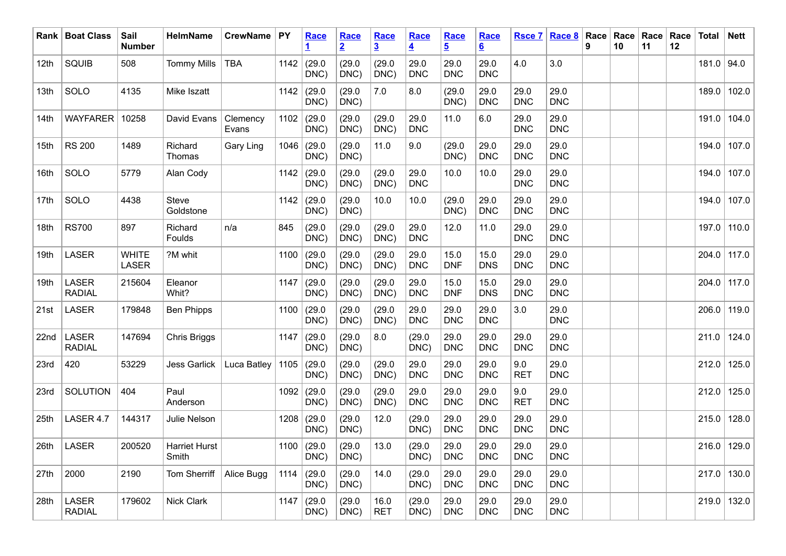|                  | Rank   Boat Class             | Sail<br><b>Number</b>        | <b>HelmName</b>        | <b>CrewName</b>   | $ $ PY | Race                  | Race<br>$\overline{2}$ | Race<br>$\overline{3}$ | Race<br>$\overline{4}$ | Race<br>$\overline{5}$ | Race<br>$6 \overline{6}$ | <b>Rsce 7</b>      | Race 8             | Race<br>9 | Race<br>10 | Race<br>11 | $\vert$ Race<br>12 | <b>Total</b> | <b>Nett</b>   |
|------------------|-------------------------------|------------------------------|------------------------|-------------------|--------|-----------------------|------------------------|------------------------|------------------------|------------------------|--------------------------|--------------------|--------------------|-----------|------------|------------|--------------------|--------------|---------------|
| 12 <sup>th</sup> | SQUIB                         | 508                          | <b>Tommy Mills</b>     | <b>TBA</b>        | 1142   | (29.0)<br>DNC)        | (29.0)<br>DNC)         | (29.0)<br>DNC)         | 29.0<br><b>DNC</b>     | 29.0<br><b>DNC</b>     | 29.0<br><b>DNC</b>       | 4.0                | 3.0                |           |            |            |                    | $181.0$ 94.0 |               |
| 13th             | SOLO                          | 4135                         | Mike Iszatt            |                   | 1142   | (29.0)<br>DNC)        | (29.0)<br>DNC)         | 7.0                    | 8.0                    | (29.0)<br>DNC)         | 29.0<br><b>DNC</b>       | 29.0<br><b>DNC</b> | 29.0<br><b>DNC</b> |           |            |            |                    |              | 189.0   102.0 |
| 14th             | <b>WAYFARER</b>               | 10258                        | David Evans            | Clemency<br>Evans | 1102   | (29.0)<br>DNC)        | (29.0)<br>DNC)         | (29.0)<br>DNC)         | 29.0<br><b>DNC</b>     | 11.0                   | 6.0                      | 29.0<br><b>DNC</b> | 29.0<br><b>DNC</b> |           |            |            |                    | 191.0        | 104.0         |
| 15th             | <b>RS 200</b>                 | 1489                         | Richard<br>Thomas      | <b>Gary Ling</b>  | 1046   | (29.0)<br>DNC)        | (29.0)<br>DNC)         | 11.0                   | 9.0                    | (29.0)<br>DNC)         | 29.0<br><b>DNC</b>       | 29.0<br><b>DNC</b> | 29.0<br><b>DNC</b> |           |            |            |                    |              | 194.0 107.0   |
| 16th             | SOLO                          | 5779                         | Alan Cody              |                   | 1142   | (29.0)<br>DNC)        | (29.0)<br>DNC)         | (29.0)<br>DNC)         | 29.0<br><b>DNC</b>     | 10.0                   | 10.0                     | 29.0<br><b>DNC</b> | 29.0<br><b>DNC</b> |           |            |            |                    | 194.0        | 107.0         |
| 17th             | SOLO                          | 4438                         | Steve<br>Goldstone     |                   | 1142   | (29.0)<br>DNC)        | (29.0)<br>DNC)         | 10.0                   | 10.0                   | (29.0)<br>DNC)         | 29.0<br><b>DNC</b>       | 29.0<br><b>DNC</b> | 29.0<br><b>DNC</b> |           |            |            |                    |              | 194.0   107.0 |
| 18th             | <b>RS700</b>                  | 897                          | Richard<br>Foulds      | n/a               | 845    | (29.0)<br>DNC)        | (29.0)<br>DNC)         | (29.0)<br>DNC)         | 29.0<br><b>DNC</b>     | 12.0                   | 11.0                     | 29.0<br><b>DNC</b> | 29.0<br><b>DNC</b> |           |            |            |                    |              | 197.0   110.0 |
| 19th             | <b>LASER</b>                  | <b>WHITE</b><br><b>LASER</b> | ?M whit                |                   | 1100   | (29.0)<br>DNC)        | (29.0)<br>DNC)         | (29.0)<br>DNC)         | 29.0<br><b>DNC</b>     | 15.0<br><b>DNF</b>     | 15.0<br><b>DNS</b>       | 29.0<br><b>DNC</b> | 29.0<br><b>DNC</b> |           |            |            |                    |              | 204.0 117.0   |
| 19th             | <b>LASER</b><br><b>RADIAL</b> | 215604                       | Eleanor<br>Whit?       |                   | 1147   | (29.0)<br>DNC)        | (29.0)<br>DNC)         | (29.0)<br>DNC)         | 29.0<br><b>DNC</b>     | 15.0<br><b>DNF</b>     | 15.0<br><b>DNS</b>       | 29.0<br><b>DNC</b> | 29.0<br><b>DNC</b> |           |            |            |                    |              | 204.0 117.0   |
| 21st             | <b>LASER</b>                  | 179848                       | <b>Ben Phipps</b>      |                   | 1100   | (29.0)<br>DNC)        | (29.0)<br>DNC)         | (29.0)<br>DNC)         | 29.0<br><b>DNC</b>     | 29.0<br><b>DNC</b>     | 29.0<br><b>DNC</b>       | 3.0                | 29.0<br><b>DNC</b> |           |            |            |                    |              | 206.0 119.0   |
| 22nd             | <b>LASER</b><br><b>RADIAL</b> | 147694                       | Chris Briggs           |                   | 1147   | (29.0)<br>DNC)        | (29.0)<br>DNC)         | 8.0                    | (29.0)<br>DNC)         | 29.0<br><b>DNC</b>     | 29.0<br><b>DNC</b>       | 29.0<br><b>DNC</b> | 29.0<br><b>DNC</b> |           |            |            |                    |              | 211.0   124.0 |
| 23rd             | 420                           | 53229                        | Jess Garlick           | Luca Batley       | 1105   | (29.0)<br>DNC)        | (29.0)<br>DNC)         | (29.0)<br>DNC)         | 29.0<br><b>DNC</b>     | 29.0<br><b>DNC</b>     | 29.0<br><b>DNC</b>       | 9.0<br><b>RET</b>  | 29.0<br><b>DNC</b> |           |            |            |                    | 212.0        | 125.0         |
| 23rd             | <b>SOLUTION</b>               | 404                          | Paul<br>Anderson       |                   | 1092   | (29.0)<br>DNC)        | (29.0)<br>DNC)         | (29.0)<br>DNC)         | 29.0<br><b>DNC</b>     | 29.0<br><b>DNC</b>     | 29.0<br><b>DNC</b>       | 9.0<br><b>RET</b>  | 29.0<br><b>DNC</b> |           |            |            |                    |              | 212.0 125.0   |
| 25th             | LASER 4.7                     | 144317                       | Julie Nelson           |                   | 1208   | (29.0)<br>DNC)        | (29.0)<br>DNC)         | 12.0                   | (29.0)<br>DNC)         | 29.0<br><b>DNC</b>     | 29.0<br><b>DNC</b>       | 29.0<br><b>DNC</b> | 29.0<br><b>DNC</b> |           |            |            |                    | 215.0        | 128.0         |
|                  | 26th $ $ LASER                | 200520                       | Harriet Hurst<br>Smith |                   |        | 1100 $(29.0)$<br>DNC) | (29.0<br>DNC)          | 13.0                   | (29.0)<br>DNC)         | 29.0<br><b>DNC</b>     | 29.0<br><b>DNC</b>       | 29.0<br><b>DNC</b> | 29.0<br><b>DNC</b> |           |            |            |                    |              | 216.0 129.0   |
| 27th             | 2000                          | 2190                         | Tom Sherriff           | Alice Bugg        |        | 1114 $(29.0)$<br>DNC) | (29.0)<br>DNC)         | 14.0                   | (29.0)<br>DNC)         | 29.0<br><b>DNC</b>     | 29.0<br><b>DNC</b>       | 29.0<br><b>DNC</b> | 29.0<br><b>DNC</b> |           |            |            |                    |              | 217.0   130.0 |
| 28th             | LASER<br><b>RADIAL</b>        | 179602                       | Nick Clark             |                   |        | 1147 $(29.0$<br>DNC)  | (29.0)<br>DNC)         | 16.0<br><b>RET</b>     | (29.0)<br>DNC)         | 29.0<br><b>DNC</b>     | 29.0<br><b>DNC</b>       | 29.0<br><b>DNC</b> | 29.0<br><b>DNC</b> |           |            |            |                    |              | 219.0   132.0 |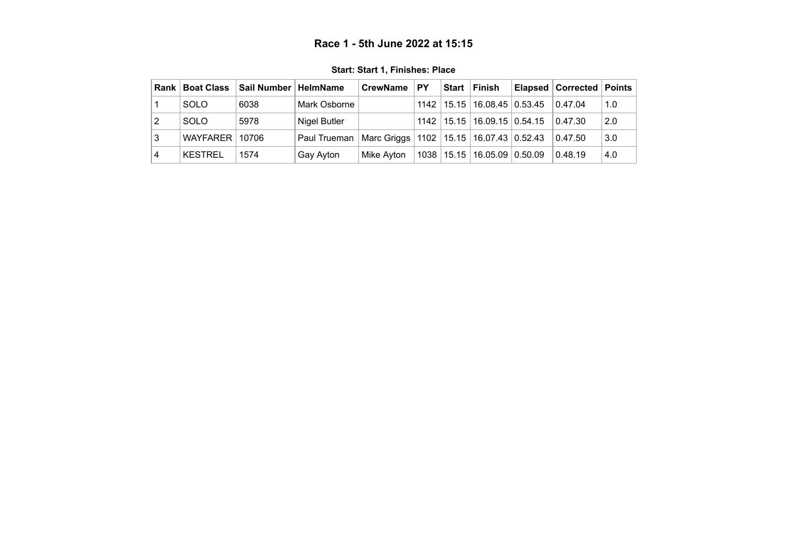### **Race 1 - 5th June 2022 at 15:15**

<span id="page-2-0"></span>

| Rank I | <b>Boat Class</b> | Sail Number   HelmName |              | <b>CrewName</b>                                 | <b>PY</b> | Start Finish                      | <b>Elapsed Corrected Points</b> |     |
|--------|-------------------|------------------------|--------------|-------------------------------------------------|-----------|-----------------------------------|---------------------------------|-----|
|        | <b>SOLO</b>       | 6038                   | Mark Osborne |                                                 |           | 1142   15.15   16.08.45   0.53.45 | 0.47.04                         | 1.0 |
|        | SOLO              | 5978                   | Nigel Butler |                                                 |           | 1142   15.15   16.09.15   0.54.15 | 0.47.30                         | 2.0 |
| 3      | WAYFARER 10706    |                        | Paul Trueman | Marc Griggs   1102   15.15   16.07.43   0.52.43 |           |                                   | 0.47.50                         | 3.0 |
| 4      | KESTREL           | 1574                   | Gay Ayton    | Mike Avton                                      |           | 1038   15.15   16.05.09   0.50.09 | 0.48.19                         | 4.0 |

**Start: Start 1, Finishes: Place**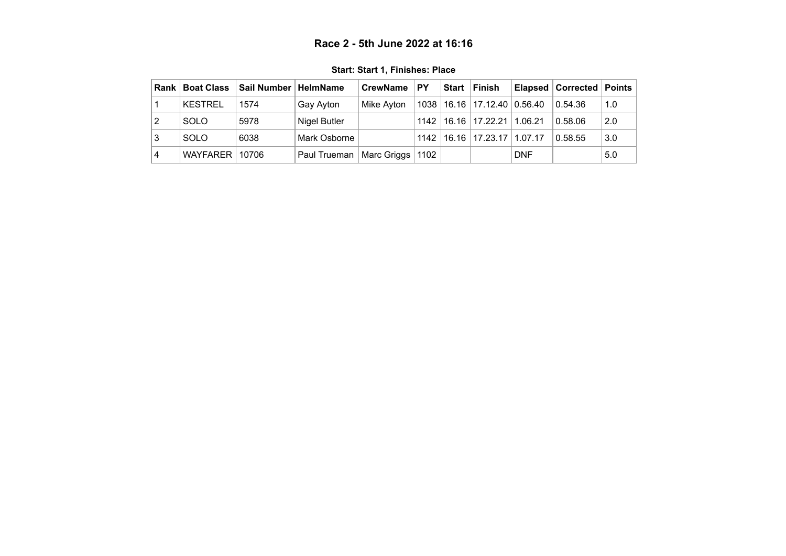### **Race 2 - 5th June 2022 at 16:16**

<span id="page-3-0"></span>

| Rank I | <b>Boat Class</b> | Sail Number   HelmName |              | <b>CrewName</b> | <b>PY</b> | <b>Start</b> | ∣Finish                           |            | <b>Elapsed   Corrected   Points</b> |     |
|--------|-------------------|------------------------|--------------|-----------------|-----------|--------------|-----------------------------------|------------|-------------------------------------|-----|
|        | <b>KESTREL</b>    | 1574                   | Gay Ayton    | Mike Avton      |           |              | 1038   16.16   17.12.40   0.56.40 |            | 0.54.36                             | 1.0 |
|        | <b>SOLO</b>       | 5978                   | Nigel Butler |                 | 1142      |              | 16.16   17.22.21   1.06.21        |            | 0.58.06                             | 2.0 |
| 3      | <b>SOLO</b>       | 6038                   | Mark Osborne |                 | 1142      |              | 16.16   17.23.17   1.07.17        |            | 0.58.55                             | 3.0 |
| 4      | WAYFARER          | 10706                  | Paul Trueman | Marc Griggs     | 1102      |              |                                   | <b>DNF</b> |                                     | 5.0 |

**Start: Start 1, Finishes: Place**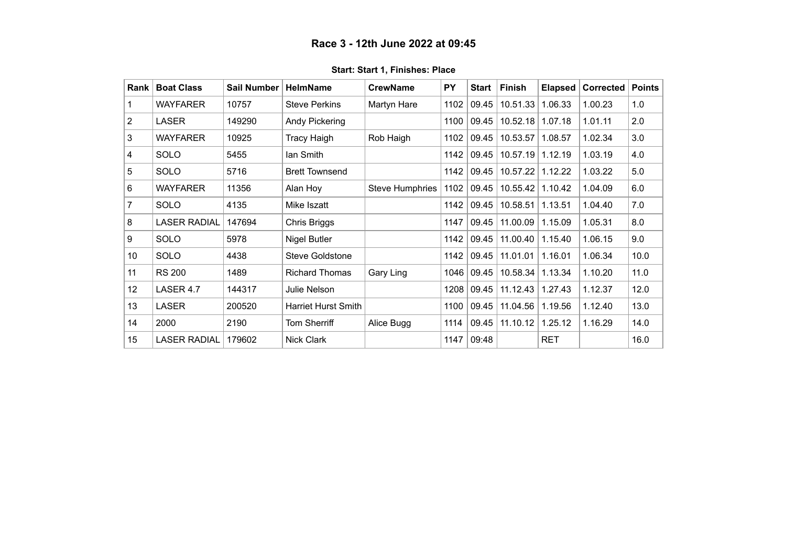<span id="page-4-0"></span>

| Rank            | <b>Boat Class</b>   | <b>Sail Number</b> | <b>HelmName</b>            | <b>CrewName</b>        | <b>PY</b> | Start | Finish           | <b>Elapsed</b> | <b>Corrected</b> | <b>Points</b> |
|-----------------|---------------------|--------------------|----------------------------|------------------------|-----------|-------|------------------|----------------|------------------|---------------|
|                 | <b>WAYFARER</b>     | 10757              | <b>Steve Perkins</b>       | Martyn Hare            | 1102      | 09.45 | 10.51.33         | 1.06.33        | 1.00.23          | 1.0           |
| $\mathbf{2}$    | <b>LASER</b>        | 149290             | Andy Pickering             |                        | 1100      | 09.45 | 10.52.18 1.07.18 |                | 1.01.11          | 2.0           |
| 3               | <b>WAYFARER</b>     | 10925              | <b>Tracy Haigh</b>         | Rob Haigh              | 1102      | 09.45 | 10.53.57         | 1.08.57        | 1.02.34          | 3.0           |
| 4               | <b>SOLO</b>         | 5455               | lan Smith                  |                        | 1142      | 09.45 | 10.57.19         | 1.12.19        | 1.03.19          | 4.0           |
| 5               | <b>SOLO</b>         | 5716               | <b>Brett Townsend</b>      |                        | 1142      | 09.45 | 10.57.22         | 1.12.22        | 1.03.22          | 5.0           |
| 6               | <b>WAYFARER</b>     | 11356              | Alan Hoy                   | <b>Steve Humphries</b> | 1102      | 09.45 | 10.55.42         | 1.10.42        | 1.04.09          | 6.0           |
| 7               | <b>SOLO</b>         | 4135               | Mike Iszatt                |                        | 1142      | 09.45 | 10.58.51         | 1.13.51        | 1.04.40          | 7.0           |
| 8               | <b>LASER RADIAL</b> | 147694             | Chris Briggs               |                        | 1147      | 09.45 | 11.00.09         | 1.15.09        | 1.05.31          | 8.0           |
| 9               | <b>SOLO</b>         | 5978               | Nigel Butler               |                        | 1142      | 09.45 | 11.00.40         | 1.15.40        | 1.06.15          | 9.0           |
| 10 <sup>°</sup> | <b>SOLO</b>         | 4438               | Steve Goldstone            |                        | 1142      | 09.45 | 11.01.01         | 1.16.01        | 1.06.34          | 10.0          |
| 11              | <b>RS 200</b>       | 1489               | <b>Richard Thomas</b>      | Gary Ling              | 1046      | 09.45 | 10.58.34         | 1.13.34        | 1.10.20          | 11.0          |
| 12              | LASER 4.7           | 144317             | Julie Nelson               |                        | 1208      | 09.45 | 11.12.43         | 1.27.43        | 1.12.37          | 12.0          |
| 13              | <b>LASER</b>        | 200520             | <b>Harriet Hurst Smith</b> |                        | 1100      | 09.45 | 11.04.56         | 1.19.56        | 1.12.40          | 13.0          |
| 14              | 2000                | 2190               | Tom Sherriff               | Alice Bugg             | 1114      | 09.45 | 11.10.12         | 1.25.12        | 1.16.29          | 14.0          |
| 15              | <b>LASER RADIAL</b> | 179602             | Nick Clark                 |                        | 1147      | 09:48 |                  | <b>RET</b>     |                  | 16.0          |

**Start: Start 1, Finishes: Place**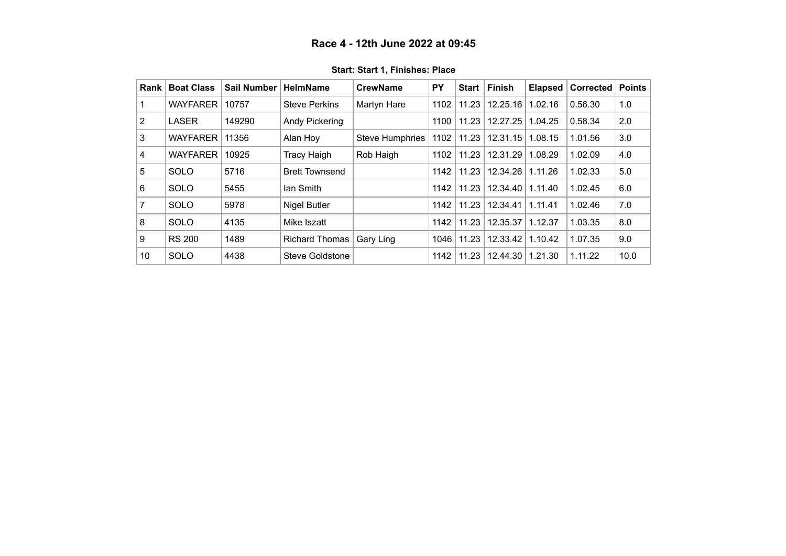<span id="page-5-0"></span>

| Rank | <b>Boat Class</b> | <b>Sail Number</b> | <b>HelmName</b>       | <b>CrewName</b>        | <b>PY</b> | <b>Start</b> | <b>Finish</b> | <b>Elapsed</b> | <b>Corrected</b> | <b>Points</b> |
|------|-------------------|--------------------|-----------------------|------------------------|-----------|--------------|---------------|----------------|------------------|---------------|
|      | <b>WAYFARER</b>   | 10757              | <b>Steve Perkins</b>  | Martyn Hare            | 1102      | 11.23        | 12.25.16      | 1.02.16        | 0.56.30          | 1.0           |
| 2    | <b>LASER</b>      | 149290             | Andy Pickering        |                        | 1100      | 11.23        | 12.27.25      | 1.04.25        | 0.58.34          | 2.0           |
| 3    | <b>WAYFARER</b>   | 11356              | Alan Hoy              | <b>Steve Humphries</b> | 1102      | 11.23        | 12.31.15      | 1.08.15        | 1.01.56          | 3.0           |
| 4    | <b>WAYFARER</b>   | 10925              | <b>Tracy Haigh</b>    | Rob Haigh              | 1102      | 11.23        | 12.31.29      | 1.08.29        | 1.02.09          | 4.0           |
| 5    | <b>SOLO</b>       | 5716               | <b>Brett Townsend</b> |                        | 1142      | 11.23        | 12.34.26      | 1.11.26        | 1.02.33          | 5.0           |
| 6    | <b>SOLO</b>       | 5455               | lan Smith             |                        | 1142      | 11.23        | 12.34.40      | 1.11.40        | 1.02.45          | 6.0           |
| 7    | <b>SOLO</b>       | 5978               | <b>Nigel Butler</b>   |                        | 1142      | 11.23        | 12.34.41      | 1.11.41        | 1.02.46          | 7.0           |
| 8    | <b>SOLO</b>       | 4135               | Mike Iszatt           |                        | 1142      | 11.23        | 12.35.37      | 1.12.37        | 1.03.35          | 8.0           |
| 9    | <b>RS 200</b>     | 1489               | <b>Richard Thomas</b> | Gary Ling              | 1046      | 11.23        | 12.33.42      | 1.10.42        | 1.07.35          | 9.0           |
| 10   | SOLO              | 4438               | Steve Goldstone       |                        | 1142      | 11.23        | 12.44.30      | 1.21.30        | 1.11.22          | 10.0          |

**Start: Start 1, Finishes: Place**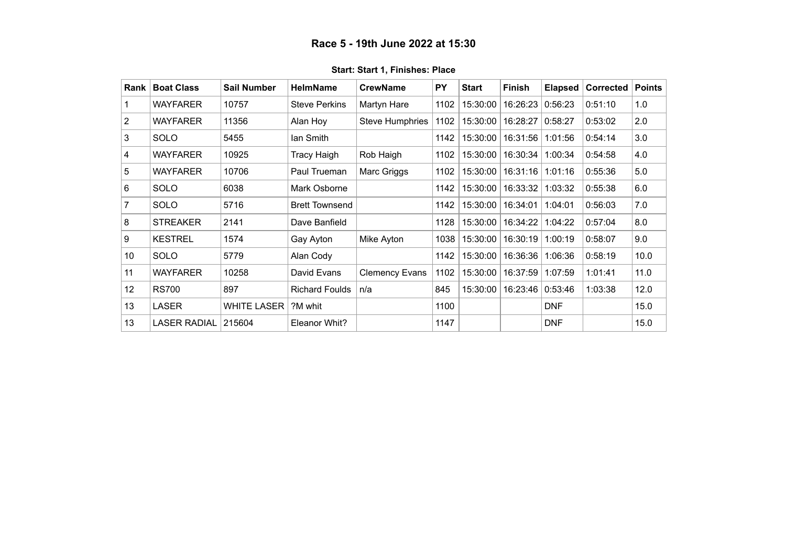### **Race 5 - 19th June 2022 at 15:30**

<span id="page-6-0"></span>

| Rank        | <b>Boat Class</b>   | <b>Sail Number</b> | <b>HelmName</b>       | <b>CrewName</b>        | <b>PY</b> | <b>Start</b> | <b>Finish</b> | <b>Elapsed</b> | <b>Corrected</b> | <b>Points</b> |
|-------------|---------------------|--------------------|-----------------------|------------------------|-----------|--------------|---------------|----------------|------------------|---------------|
|             | <b>WAYFARER</b>     | 10757              | <b>Steve Perkins</b>  | Martyn Hare            | 1102      | 15:30:00     | 16:26:23      | 0:56:23        | 0:51:10          | 1.0           |
| $ 2\rangle$ | <b>WAYFARER</b>     | 11356              | Alan Hoy              | <b>Steve Humphries</b> | 1102      | 15:30:00     | 16:28:27      | 0:58:27        | 0:53:02          | 2.0           |
| 3           | <b>SOLO</b>         | 5455               | lan Smith             |                        | 1142      | 15:30:00     | 16:31:56      | 1:01:56        | 0:54:14          | 3.0           |
| 4           | <b>WAYFARER</b>     | 10925              | Tracy Haigh           | Rob Haigh              | 1102      | 15:30:00     | 16:30:34      | 1:00:34        | 0:54:58          | 4.0           |
| 5           | <b>WAYFARER</b>     | 10706              | Paul Trueman          | Marc Griggs            | 1102      | 15:30:00     | 16:31:16      | 1:01:16        | 0:55:36          | 5.0           |
| 6           | <b>SOLO</b>         | 6038               | Mark Osborne          |                        | 1142      | 15:30:00     | 16:33:32      | 1:03:32        | 0:55:38          | 6.0           |
| 7           | <b>SOLO</b>         | 5716               | <b>Brett Townsend</b> |                        | 1142      | 15:30:00     | 16:34:01      | 1:04:01        | 0:56:03          | 7.0           |
| 8           | <b>STREAKER</b>     | 2141               | Dave Banfield         |                        | 1128      | 15:30:00     | 16:34:22      | 1:04:22        | 0:57:04          | 8.0           |
| ∣9          | <b>KESTREL</b>      | 1574               | Gay Ayton             | Mike Ayton             | 1038      | 15:30:00     | 16:30:19      | 1:00:19        | 0:58:07          | 9.0           |
| 10          | <b>SOLO</b>         | 5779               | Alan Cody             |                        | 1142      | 15:30:00     | 16:36:36      | 1:06:36        | 0:58:19          | 10.0          |
| 11          | <b>WAYFARER</b>     | 10258              | David Evans           | <b>Clemency Evans</b>  | 1102      | 15:30:00     | 16:37:59      | 1:07:59        | 1:01:41          | 11.0          |
| 12          | <b>RS700</b>        | 897                | <b>Richard Foulds</b> | n/a                    | 845       | 15:30:00     | 16:23:46      | 0:53:46        | 1:03:38          | 12.0          |
| 13          | <b>LASER</b>        | <b>WHITE LASER</b> | ?M whit               |                        | 1100      |              |               | <b>DNF</b>     |                  | 15.0          |
| 13          | <b>LASER RADIAL</b> | 215604             | Eleanor Whit?         |                        | 1147      |              |               | <b>DNF</b>     |                  | 15.0          |

#### **Start: Start 1, Finishes: Place**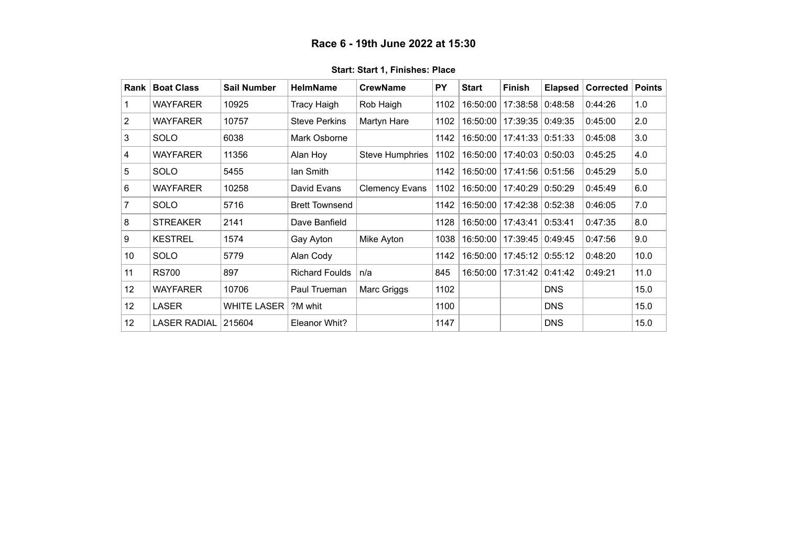<span id="page-7-0"></span>

| Rank            | <b>Boat Class</b>   | <b>Sail Number</b> | <b>HelmName</b>       | <b>CrewName</b>        | <b>PY</b> | <b>Start</b> | Finish             | <b>Elapsed</b> | Corrected | Points |
|-----------------|---------------------|--------------------|-----------------------|------------------------|-----------|--------------|--------------------|----------------|-----------|--------|
|                 | <b>WAYFARER</b>     | 10925              | Tracy Haigh           | Rob Haigh              | 1102      | 16:50:00     | 17:38:58           | 0:48:58        | 0:44:26   | 1.0    |
| 2               | <b>WAYFARER</b>     | 10757              | <b>Steve Perkins</b>  | Martyn Hare            | 1102      | 16:50:00     | 17:39:35 0:49:35   |                | 0:45:00   | 2.0    |
| 3               | <b>SOLO</b>         | 6038               | Mark Osborne          |                        | 1142      | 16:50:00     | 17:41:33 0:51:33   |                | 0:45:08   | 3.0    |
| 4               | <b>WAYFARER</b>     | 11356              | Alan Hoy              | <b>Steve Humphries</b> | 1102      | 16:50:00     | 17:40:03           | 0:50:03        | 0:45:25   | 4.0    |
| 5               | <b>SOLO</b>         | 5455               | lan Smith             |                        | 1142      | 16:50:00     | 17:41:56 0:51:56   |                | 0:45:29   | 5.0    |
| 6               | <b>WAYFARER</b>     | 10258              | David Evans           | <b>Clemency Evans</b>  | 1102      | 16:50:00     | 17:40:29           | 0:50:29        | 0:45:49   | 6.0    |
| 7               | <b>SOLO</b>         | 5716               | <b>Brett Townsend</b> |                        | 1142      | 16:50:00     | 17:42:38 0:52:38   |                | 0:46:05   | 7.0    |
| 8               | <b>STREAKER</b>     | 2141               | Dave Banfield         |                        | 1128      | 16:50:00     | 17:43:41           | 0:53:41        | 0:47:35   | 8.0    |
| 9               | <b>KESTREL</b>      | 1574               | Gay Ayton             | Mike Ayton             | 1038      | 16:50:00     | 17:39:45   0:49:45 |                | 0:47:56   | 9.0    |
| 10 <sup>1</sup> | <b>SOLO</b>         | 5779               | Alan Cody             |                        | 1142      | 16:50:00     | 17:45:12           | 0:55:12        | 0:48:20   | 10.0   |
| 11              | <b>RS700</b>        | 897                | <b>Richard Foulds</b> | n/a                    | 845       | 16:50:00     | 17:31:42           | 0:41:42        | 0:49:21   | 11.0   |
| 12              | <b>WAYFARER</b>     | 10706              | Paul Trueman          | Marc Griggs            | 1102      |              |                    | <b>DNS</b>     |           | 15.0   |
| 12 <sup>°</sup> | <b>LASER</b>        | <b>WHITE LASER</b> | ?M whit               |                        | 1100      |              |                    | <b>DNS</b>     |           | 15.0   |
| 12              | <b>LASER RADIAL</b> | 215604             | Eleanor Whit?         |                        | 1147      |              |                    | <b>DNS</b>     |           | 15.0   |

#### **Start: Start 1, Finishes: Place**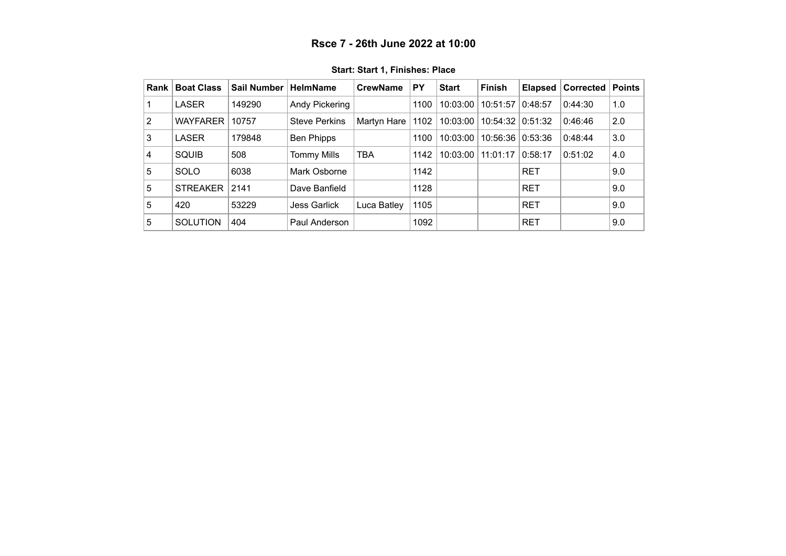<span id="page-8-0"></span>

| Rank | <b>Boat Class</b> | <b>Sail Number</b> | <b>HelmName</b>      | <b>CrewName</b> | PY   | <b>Start</b> | <b>Finish</b> | <b>Elapsed</b> | Corrected | <b>Points</b> |
|------|-------------------|--------------------|----------------------|-----------------|------|--------------|---------------|----------------|-----------|---------------|
|      | LASER             | 149290             | Andy Pickering       |                 | 1100 | 10:03:00     | 10:51:57      | 0:48:57        | 0:44:30   | 1.0           |
| 2    | <b>WAYFARER</b>   | 10757              | <b>Steve Perkins</b> | Martyn Hare     | 1102 | 10:03:00     | 10:54:32      | 0:51:32        | 0:46:46   | 2.0           |
| 3    | <b>LASER</b>      | 179848             | <b>Ben Phipps</b>    |                 | 1100 | 10:03:00     | 10:56:36      | 0:53:36        | 0:48:44   | 3.0           |
| 4    | SQUIB             | 508                | <b>Tommy Mills</b>   | <b>TBA</b>      | 1142 | 10:03:00     | 11:01:17      | 0:58:17        | 0:51:02   | 4.0           |
| 5    | <b>SOLO</b>       | 6038               | Mark Osborne         |                 | 1142 |              |               | <b>RET</b>     |           | 9.0           |
| 5    | <b>STREAKER</b>   | 2141               | Dave Banfield        |                 | 1128 |              |               | <b>RET</b>     |           | 9.0           |
| 5    | 420               | 53229              | <b>Jess Garlick</b>  | Luca Batley     | 1105 |              |               | <b>RET</b>     |           | 9.0           |
| 5    | <b>SOLUTION</b>   | 404                | Paul Anderson        |                 | 1092 |              |               | <b>RET</b>     |           | 9.0           |

**Start: Start 1, Finishes: Place**